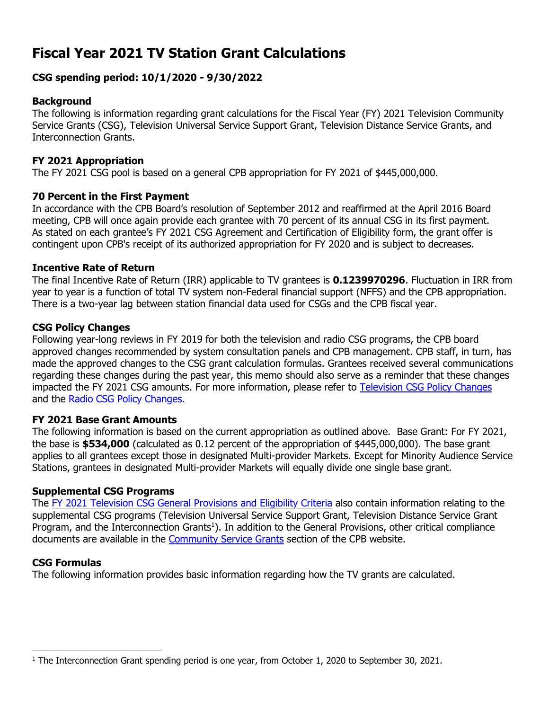# **Fiscal Year 2021 TV Station Grant Calculations**

# **CSG spending period: 10/1/2020 - 9/30/2022**

# **Background**

The following is information regarding grant calculations for the Fiscal Year (FY) 2021 Television Community Service Grants (CSG), Television Universal Service Support Grant, Television Distance Service Grants, and Interconnection Grants.

#### **FY 2021 Appropriation**

The FY 2021 CSG pool is based on a general CPB appropriation for FY 2021 of \$445,000,000.

#### **70 Percent in the First Payment**

In accordance with the CPB Board's resolution of September 2012 and reaffirmed at the April 2016 Board meeting, CPB will once again provide each grantee with 70 percent of its annual CSG in its first payment. As stated on each grantee's FY 2021 CSG Agreement and Certification of Eligibility form, the grant offer is contingent upon CPB's receipt of its authorized appropriation for FY 2020 and is subject to decreases.

#### **Incentive Rate of Return**

The final Incentive Rate of Return (IRR) applicable to TV grantees is **0.1239970296**. Fluctuation in IRR from year to year is a function of total TV system non-Federal financial support (NFFS) and the CPB appropriation. There is a two-year lag between station financial data used for CSGs and the CPB fiscal year.

#### **CSG Policy Changes**

Following year-long reviews in FY 2019 for both the television and radio CSG programs, the CPB board approved changes recommended by system consultation panels and CPB management. CPB staff, in turn, has made the approved changes to the CSG grant calculation formulas. Grantees received several communications regarding these changes during the past year, this memo should also serve as a reminder that these changes impacted the FY 2021 CSG amounts. For more information, please refer to [Television CSG Policy Changes](https://www.cpb.org/sites/default/files/2019%20TV%20CSG%20Policy%20Recommendations.pdf)  and the Radio CSG [Policy Changes.](https://www.cpb.org/sites/default/files/2019%20Radio%20CSG%20Policy%20Recommendations.pdf) 

# **FY 2021 Base Grant Amounts**

The following information is based on the current appropriation as outlined above. Base Grant: For FY 2021, the base is **\$534,000** (calculated as 0.12 percent of the appropriation of \$445,000,000). The base grant applies to all grantees except those in designated Multi-provider Markets. Except for Minority Audience Service Stations, grantees in designated Multi-provider Markets will equally divide one single base grant.

# **Supplemental CSG Programs**

The [FY 2021 Television CSG General Provisions and Eligibility Criteria](https://www.cpb.org/sites/default/files/stations/tv/generalprovisions/FY-2021-TV-General-Provisions.pdf) also contain information relating to the supplemental CSG programs (Television Universal Service Support Grant, Television Distance Service Grant Program, and the Interconnection Grants<sup>1</sup>). In addition to the General Provisions, other critical compliance documents are available in the [Community Service Grants](https://www.cpb.org/stations) section of the CPB website.

# **CSG Formulas**

The following information provides basic information regarding how the TV grants are calculated.

<sup>&</sup>lt;sup>1</sup> The Interconnection Grant spending period is one year, from October 1, 2020 to September 30, 2021.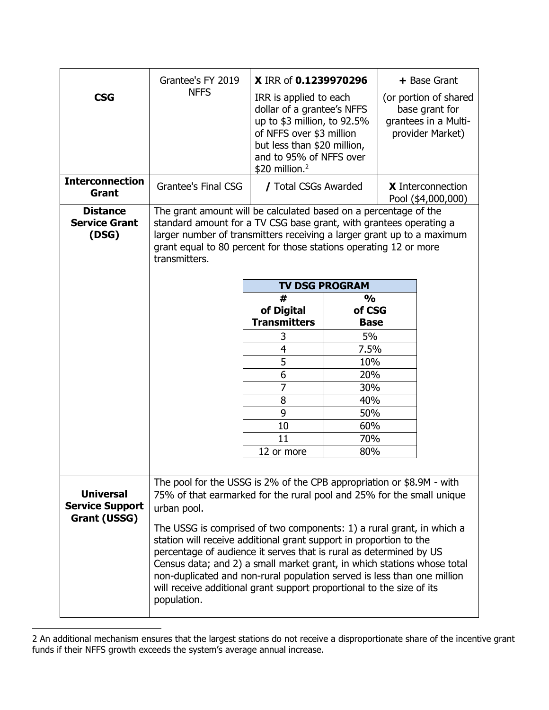| <b>CSG</b><br><b>Interconnection</b><br><b>Grant</b><br><b>Distance</b> | Grantee's FY 2019<br><b>NFFS</b><br><b>Grantee's Final CSG</b>                                                                                                                                                                                                                                                                                                                                                                                                  | X IRR of 0.1239970296<br>IRR is applied to each<br>dollar of a grantee's NFFS<br>up to \$3 million, to 92.5%<br>of NFFS over \$3 million<br>but less than \$20 million,<br>and to 95% of NFFS over<br>$$20$ million. <sup>2</sup><br>/ Total CSGs Awarded<br>The grant amount will be calculated based on a percentage of the |                         | + Base Grant<br>(or portion of shared<br>base grant for<br>grantees in a Multi-<br>provider Market)<br><b>X</b> Interconnection<br>Pool (\$4,000,000) |  |
|-------------------------------------------------------------------------|-----------------------------------------------------------------------------------------------------------------------------------------------------------------------------------------------------------------------------------------------------------------------------------------------------------------------------------------------------------------------------------------------------------------------------------------------------------------|-------------------------------------------------------------------------------------------------------------------------------------------------------------------------------------------------------------------------------------------------------------------------------------------------------------------------------|-------------------------|-------------------------------------------------------------------------------------------------------------------------------------------------------|--|
| <b>Service Grant</b><br>(DSG)                                           | standard amount for a TV CSG base grant, with grantees operating a<br>larger number of transmitters receiving a larger grant up to a maximum<br>grant equal to 80 percent for those stations operating 12 or more<br>transmitters.<br><b>TV DSG PROGRAM</b>                                                                                                                                                                                                     |                                                                                                                                                                                                                                                                                                                               |                         |                                                                                                                                                       |  |
|                                                                         |                                                                                                                                                                                                                                                                                                                                                                                                                                                                 | #                                                                                                                                                                                                                                                                                                                             |                         |                                                                                                                                                       |  |
|                                                                         |                                                                                                                                                                                                                                                                                                                                                                                                                                                                 | of Digital                                                                                                                                                                                                                                                                                                                    | $\frac{0}{0}$<br>of CSG |                                                                                                                                                       |  |
|                                                                         |                                                                                                                                                                                                                                                                                                                                                                                                                                                                 | <b>Transmitters</b>                                                                                                                                                                                                                                                                                                           | <b>Base</b>             |                                                                                                                                                       |  |
|                                                                         |                                                                                                                                                                                                                                                                                                                                                                                                                                                                 | 3                                                                                                                                                                                                                                                                                                                             | 5%                      |                                                                                                                                                       |  |
|                                                                         |                                                                                                                                                                                                                                                                                                                                                                                                                                                                 | 4                                                                                                                                                                                                                                                                                                                             | 7.5%                    |                                                                                                                                                       |  |
|                                                                         |                                                                                                                                                                                                                                                                                                                                                                                                                                                                 | 5                                                                                                                                                                                                                                                                                                                             | 10%                     |                                                                                                                                                       |  |
|                                                                         |                                                                                                                                                                                                                                                                                                                                                                                                                                                                 | 6                                                                                                                                                                                                                                                                                                                             | 20%                     |                                                                                                                                                       |  |
|                                                                         |                                                                                                                                                                                                                                                                                                                                                                                                                                                                 | $\overline{7}$                                                                                                                                                                                                                                                                                                                | 30%                     |                                                                                                                                                       |  |
|                                                                         |                                                                                                                                                                                                                                                                                                                                                                                                                                                                 | 8                                                                                                                                                                                                                                                                                                                             | 40%                     |                                                                                                                                                       |  |
|                                                                         |                                                                                                                                                                                                                                                                                                                                                                                                                                                                 | 9                                                                                                                                                                                                                                                                                                                             | 50%                     |                                                                                                                                                       |  |
|                                                                         |                                                                                                                                                                                                                                                                                                                                                                                                                                                                 | 10                                                                                                                                                                                                                                                                                                                            | 60%                     |                                                                                                                                                       |  |
|                                                                         |                                                                                                                                                                                                                                                                                                                                                                                                                                                                 | 11                                                                                                                                                                                                                                                                                                                            | 70%                     |                                                                                                                                                       |  |
|                                                                         |                                                                                                                                                                                                                                                                                                                                                                                                                                                                 | 12 or more                                                                                                                                                                                                                                                                                                                    | 80%                     |                                                                                                                                                       |  |
|                                                                         |                                                                                                                                                                                                                                                                                                                                                                                                                                                                 |                                                                                                                                                                                                                                                                                                                               |                         |                                                                                                                                                       |  |
|                                                                         | The pool for the USSG is 2% of the CPB appropriation or \$8.9M - with                                                                                                                                                                                                                                                                                                                                                                                           |                                                                                                                                                                                                                                                                                                                               |                         |                                                                                                                                                       |  |
| <b>Universal</b><br><b>Service Support</b>                              | 75% of that earmarked for the rural pool and 25% for the small unique                                                                                                                                                                                                                                                                                                                                                                                           |                                                                                                                                                                                                                                                                                                                               |                         |                                                                                                                                                       |  |
| Grant (USSG)                                                            | urban pool.                                                                                                                                                                                                                                                                                                                                                                                                                                                     |                                                                                                                                                                                                                                                                                                                               |                         |                                                                                                                                                       |  |
|                                                                         | The USSG is comprised of two components: 1) a rural grant, in which a<br>station will receive additional grant support in proportion to the<br>percentage of audience it serves that is rural as determined by US<br>Census data; and 2) a small market grant, in which stations whose total<br>non-duplicated and non-rural population served is less than one million<br>will receive additional grant support proportional to the size of its<br>population. |                                                                                                                                                                                                                                                                                                                               |                         |                                                                                                                                                       |  |

<sup>2</sup> An additional mechanism ensures that the largest stations do not receive a disproportionate share of the incentive grant funds if their NFFS growth exceeds the system's average annual increase.